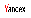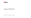

## Запрос EXPLAIN

Николай Кочетов, разработчик ClickHouse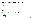#### Лог сервера (до 20.3, или с experimental use processors = 0)

```
<Debug> executeQuery: SELECT sum(number) FROM numbers(10) GROUP BY number % 2
<Debug> executeQuery: Query pipeline:
Expression
Expression
 Aggregating
  Concat
    Expression
    Numbers
```

```
EXPLAIN (20.6+)
```

```
EXPLAIN description = \thetaSELECT sum(number) FROM numbers(10) GROUP BY number % 2
```
Expression Expression Aggregating Expression ReadFromStorage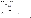## Варианты EXPLAIN

```
EXPLAIN AST
         SYNTAX
         PLAN header = \theta,
               description = 1,actions = 0,
               optimize =
1
         PIPELINE header = \theta,
                   graph = 0,
                   compact = 1SELECT ...
```
AST - абстрактное синтаксическое дерево SYNTAX - текст запроса после оптимизаций AST PLAN - план выполнения запроса PIPELINE - конвейер выполнения запроса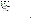## AST запроса

```
EXPLAIN AST
SELECT
1
,
2
+
3
```

```
SelectWithUnionQuery (children
1
)
 ExpressionList (children
1
)
  SelectQuery (children
1
)
   ExpressionList (children
2
)
   Literal UInt64_1
    Function plus (children
1
)
     ExpressionList (children
2
)
     Literal UInt64_2
     Literal UInt64_3
```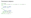## Синтаксис запроса

```
EXPLATN SYNTAX
SELECT * FROM system.numbers AS a, system.numbers AS b, system.numbers AS c
SELECT
    `−−a.number` AS `a.number`,
    `−−b.number` AS `b.number`,
    number AS `c.number`
FROM
(
   SELECT
        number AS `−−a.number`,
        b.number AS `−−b.number`
    FROM system.numbers AS a
    CROSS JOIN system.numbers AS b
) AS `−−.s`
CROSS JOIN system.numbers AS c
```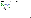#### План выполнения запроса

```
EXPLATN PLAN
SELECT sum(number) + 1 AS x
FROM numbers(10)
GROUP BY number % 2
Expression (Projection)
 Expression (Before ORDER BY and SELECT)
    Aggregating
      Expression (Before GROUP BY)
        ReadFromStorage (Read from SystemNumbers)
```
- › Нет оценки стоимости выполнения
- › TODO: EXPLAIN ANALYZE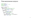#### План выполнения запроса

```
EXPLAN header = 1SELECT sum
(number) +
1 AS
x
FROM numbers(10
)
GROUP BY number
%
2
Expression (Projection)
Header: x UInt64
  Expression (Before ORDER BY and SELECT
)
  Header: modulo(number
,
2) UInt8
          plus(sum
(number),
1) UInt64
   Aggregating
    Header: modulo(number
,
2) UInt8
            sum
(number) UInt64
      Expression (Before GROUP BY
)
      Header: number UInt64
              modulo(number
,
2) UInt8
        ReadFromStorage (Read from SystemNumbers)
        Header: number UInt64
```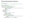#### План выполнения запроса

```
EXPI ATN actions = 1SELECT sum(number) + 1 AS x FROM numbers(10) GROUP BY number % 2
Expression (Projection)
Actions: PROJECT plus(sum(number), 1) AS x
 Expression (Before ORDER BY and SELECT)
 Actions: ADD 1 UInt8 Const(UInt8)
          FUNCTION plus(sum(number), 1) UInt64 = plus(sum(number), 1)
          REMOVE sum(number)
          REMOVE 1
   Aggregating
   Keys: modulo(number, 2)
   Aggregates:
       sum(number)
         Function: sum(UInt64) → UInt64
         Arguments: number
         Argument positions: 0
     Expression (Before GROUP BY)
     Actions: ADD 2 UInt8 Const(UInt8)
              FUNCTION modulo(number, 2) UInt8 = modulo(number, 2)
              REMOVE 2
       ReadFromStorage (Read from SystemNumbers) \frac{9}{19}
```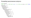## Конвейер выполнения запроса

```
EXPLAIN PIPELINE
SELECT sum(x + 1) as y FROM (SELECT number + 2 AS x FROM system.numbers mt LIMIT 100000)
(Expression)
ExpressionTransform
  (Expression)
  ExpressionTransform
    (Aggregating)
    Resize 32 \rightarrow 1AggregatingTransform × 32
        StrictResize 32 → 32
           (Expression)
          ExpressionTransform × 32
             (Expression)
            ExpressionTransform × 32
               (Expression)
              ExpressionTransform × 32
                 (Limit)
                 Limit 32 \rightarrow 32(ReadFromStorage)
                     NumbersMt × 32
```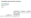## Конвейер выполнения запроса

```
EXPLAIN PIPELINE graph = 1SELECT sum(number) AS x
FROM numbers_mt(1000000)
GROUP BY number % 2
FORMAT TSV
```
digraph { ...

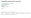## Конвейер выполнения запроса

```
EXPLAIN PIPELINE graph = 1, compact = \thetaSELECT sum(number) AS x
FROM numbers_mt(1000000)
GROUP BY number % 2
FORMAT TSV
SETTINGS max threads = 2
```

```
digraph
{
```
...

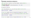#### Пример анализа запроса

CREATE TABLE events (t DateTime, value UInt64) ENGINE = MergeTree ORDER BY t;

```
INSERT INTO events SELECT
   toDate('2000-01-01') + toIntervalSecond(number * 30), number
FROM numbers(100000000);
```
Последние 10 событий

```
SELECT toStartOfMinute(t) AS m, value FROM events ORDER BY m DESC LIMIT 10
2095-01-24 05:19:00 99999999
...
10 rows in set. Elapsed: 0.015 sec. Processed 901.38 thousand rows, 10.82 MB
SELECT toStartOfMinute(t, 'UTC') AS m, value FROM events ORDER BY m DESC LIMIT 10
2095-01-24 02:19:00 99999999
...
```
10 rows in set. Elapsed: 0.188 sec. Processed 100.00 million rows, 1.20 GB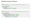### Пример анализа запроса

```
EXPLATN
SELECT toStartOfMinute(t) AS m, value FROM events ORDER BY m DESC LIMIT 10
Expression (Projection)
  Limit (preliminary LIMIT)
    FinishSorting
      Expression (Before ORDER BY and SELECT)
       ReadFromStorage (Read from MergeTree)
```

```
FXPLATN
SELECT toStartOfMinute(t, 'UTC') AS m, value FROM events ORDER BY m DESC LIMIT 10
Expression (Projection)
  Limit (preliminary LIMIT)
   MergingSorted (Merge sorted streams for ORDER BY)
      MergeSorting (Merge sorted blocks for ORDER BY)
        PartialSorting (Sort each block for ORDER BY)
          Expression (Before ORDER BY and SELECT)
            ReadFromStorage (Read from MergeTree)
```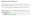## Пример анализа запроса

```
SELECT toStartOfMinute(t, 'UTC') AS m, value FROM events ORDER BY t DESC LIMIT 10
2095-01-24 02:19:00 99999999
...
10 rows in set. Elapsed: 0.013 sec. Processed 901.38 thousand rows, 10.82 MB
```

```
FXPLATN
SELECT toStartOfMinute(t, 'UTC') AS m, value FROM events ORDER BY t DESC LIMIT 10
Expression (Projection)
  Limit (preliminary LIMIT)
    FinishSorting
      Expression (Before ORDER BY and SELECT)
       ReadFromStorage (Read from MergeTree)
```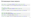## Оптимизации плана запроса

SELECT number + 1 FROM numbers(100000000) ORDER BY number DESC LIMIT 10

10 rows in set. Elapsed: 1.171 sec. Processed 100.03 million rows, 800.21 MB

```
SELECT number + 1 FROM (
   SELECT number FROM numbers(100000000) ORDER BY number DESC
) LIMIT 10
10 rows in set. Elapsed: 1.132 sec. Processed 100.03 million rows, 800.21 MB
```

```
CREATE VIEW numbers_100m_desc AS
SELECT number FROM numbers(100000000) ORDER BY number DESC
SELECT number + 1 FROM numbers 100m desc LIMIT 10
10 rows in set. Elapsed: 5.961 sec. Processed 100.03 million rows, 800.21 MB
```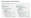## Оптимизации плана запроса

```
SELECT number + 1 FROM (
   SELECT number FROM numbers(100000000) ORDER BY number DESC
) LIMIT 10
```

```
EXPLAIN actions = 1, optimize = \theta
```

```
Expression (Projection)
Actions: PROJECT plus(number, 1)
 Limit (preliminary LIMIT)
 Limit 10
 Offset 0
    Expression (Before ORDER BY and SELECT)
   Actions: ADD 1 UInt8 Const(UInt8)
             FUNCTION plus(number, 1)
             REMOVE number
             REMOVE 1
     Expression (Projection)
     Actions: PROJECT number
        MergingSorted (Merge sorted streams for ORDER BY)
        Sort description: number DESC
```

```
MergeSorting (Merge sorted blocks for ORDER BY)
Sort description: number DESC
```

```
PartialSorting (Sort each block for ORDER BY)
Sort description: number DESC
```

```
Expression (Before ORDER BY and SELECT)
  ReadFromStorage (Read from SystemNumbers)
```

```
EXPLAIN actions = 1, optimize = 1
```

```
Expression (Projection)
Actions: PROJECT plus(number, 1)
  Expression (Before ORDER BY and SELECT)
  Actions: ADD 1 UInt8 Const(UInt8)
           FUNCTION plus(number, 1) UInt64
           REMOVE number
           REMOVE 1
    Expression (Projection)
    Actions: PROJECT number
      Limit (preliminary LIMIT)
     Limit 10
     Offset 0
        MergingSorted (Merge sorted streams for ORDER BY)
        Sort description: number DESC
        Limit 10
          MergeSorting (Merge sorted blocks for ORDER BY)
         Sort description: number DESC
         Limit 10
            PartialSorting (Sort each block for ORDER BY)
            Sort description: number DESC
            Limit 10
              Expression (Before ORDER BY and SELECT)
                ReadFromStorage (Read from SystemNumbers)
```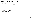## Оптимизации плана запроса

LIMIT push down

- › Для подзапросов с версии 20.7
- › Для VIEW на стадии ревью

В очереди

- › Predicate push down
- › GROUP BY push down
- › ORDER BY lift up